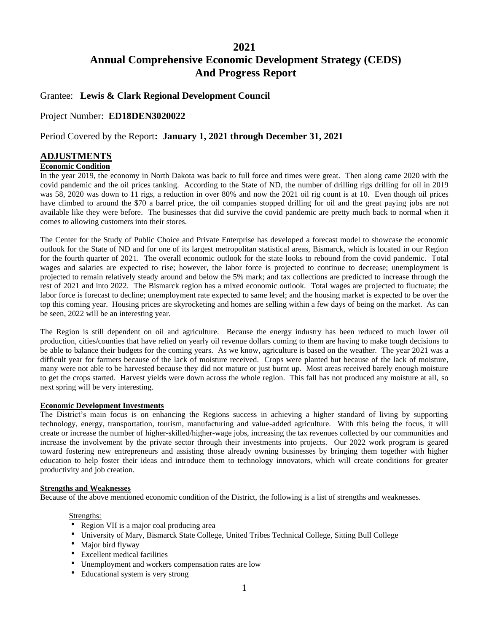## **2021**

# **Annual Comprehensive Economic Development Strategy (CEDS) And Progress Report**

### Grantee: **Lewis & Clark Regional Development Council**

### Project Number: **ED18DEN3020022**

## Period Covered by the Report**: January 1, 2021 through December 31, 2021**

## **ADJUSTMENTS**

### **Economic Condition**

In the year 2019, the economy in North Dakota was back to full force and times were great. Then along came 2020 with the covid pandemic and the oil prices tanking. According to the State of ND, the number of drilling rigs drilling for oil in 2019 was 58, 2020 was down to 11 rigs, a reduction in over 80% and now the 2021 oil rig count is at 10. Even though oil prices have climbed to around the \$70 a barrel price, the oil companies stopped drilling for oil and the great paying jobs are not available like they were before. The businesses that did survive the covid pandemic are pretty much back to normal when it comes to allowing customers into their stores.

The Center for the Study of Public Choice and Private Enterprise has developed a forecast model to showcase the economic outlook for the State of ND and for one of its largest metropolitan statistical areas, Bismarck, which is located in our Region for the fourth quarter of 2021. The overall economic outlook for the state looks to rebound from the covid pandemic. Total wages and salaries are expected to rise; however, the labor force is projected to continue to decrease; unemployment is projected to remain relatively steady around and below the 5% mark; and tax collections are predicted to increase through the rest of 2021 and into 2022. The Bismarck region has a mixed economic outlook. Total wages are projected to fluctuate; the labor force is forecast to decline; unemployment rate expected to same level; and the housing market is expected to be over the top this coming year. Housing prices are skyrocketing and homes are selling within a few days of being on the market. As can be seen, 2022 will be an interesting year.

The Region is still dependent on oil and agriculture. Because the energy industry has been reduced to much lower oil production, cities/counties that have relied on yearly oil revenue dollars coming to them are having to make tough decisions to be able to balance their budgets for the coming years. As we know, agriculture is based on the weather. The year 2021 was a difficult year for farmers because of the lack of moisture received. Crops were planted but because of the lack of moisture, many were not able to be harvested because they did not mature or just burnt up. Most areas received barely enough moisture to get the crops started. Harvest yields were down across the whole region. This fall has not produced any moisture at all, so next spring will be very interesting.

### **Economic Development Investments**

The District's main focus is on enhancing the Regions success in achieving a higher standard of living by supporting technology, energy, transportation, tourism, manufacturing and value-added agriculture. With this being the focus, it will create or increase the number of higher-skilled/higher-wage jobs, increasing the tax revenues collected by our communities and increase the involvement by the private sector through their investments into projects. Our 2022 work program is geared toward fostering new entrepreneurs and assisting those already owning businesses by bringing them together with higher education to help foster their ideas and introduce them to technology innovators, which will create conditions for greater productivity and job creation.

### **Strengths and Weaknesses**

Because of the above mentioned economic condition of the District, the following is a list of strengths and weaknesses.

### Strengths:

- Region VII is a major coal producing area
- University of Mary, Bismarck State College, United Tribes Technical College, Sitting Bull College
- Major bird flyway
- Excellent medical facilities
- Unemployment and workers compensation rates are low
- Educational system is very strong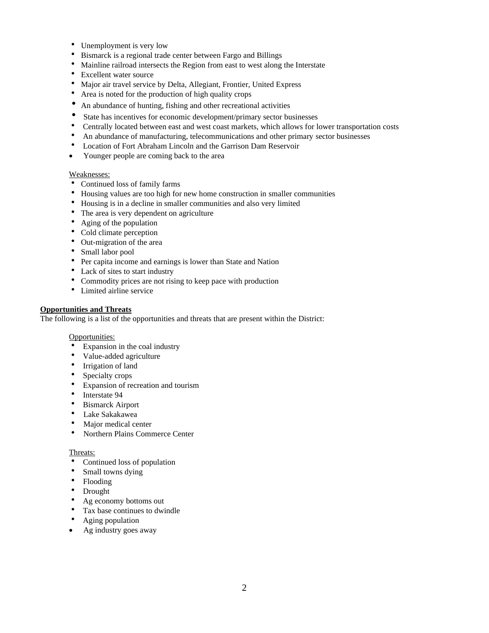- Unemployment is very low
- Bismarck is a regional trade center between Fargo and Billings
- Mainline railroad intersects the Region from east to west along the Interstate
- Excellent water source
- Major air travel service by Delta, Allegiant, Frontier, United Express
- Area is noted for the production of high quality crops
- An abundance of hunting, fishing and other recreational activities
- State has incentives for economic development/primary sector businesses
- Centrally located between east and west coast markets, which allows for lower transportation costs
- An abundance of manufacturing, telecommunications and other primary sector businesses
- Location of Fort Abraham Lincoln and the Garrison Dam Reservoir
- Younger people are coming back to the area

### Weaknesses:

- Continued loss of family farms
- Housing values are too high for new home construction in smaller communities
- Housing is in a decline in smaller communities and also very limited
- The area is very dependent on agriculture
- Aging of the population
- Cold climate perception
- Out-migration of the area
- Small labor pool
- Per capita income and earnings is lower than State and Nation
- Lack of sites to start industry
- Commodity prices are not rising to keep pace with production
- Limited airline service

### **Opportunities and Threats**

The following is a list of the opportunities and threats that are present within the District:

### Opportunities:

- Expansion in the coal industry
- Value-added agriculture
- Irrigation of land
- Specialty crops
- Expansion of recreation and tourism
- Interstate 94
- Bismarck Airport
- Lake Sakakawea
- Major medical center
- Northern Plains Commerce Center

### Threats:

- Continued loss of population
- Small towns dying
- Flooding
- Drought
- Ag economy bottoms out
- Tax base continues to dwindle<br>•  $A \circ \text{in} \circ \text{nonulation}$
- Aging population
- Ag industry goes away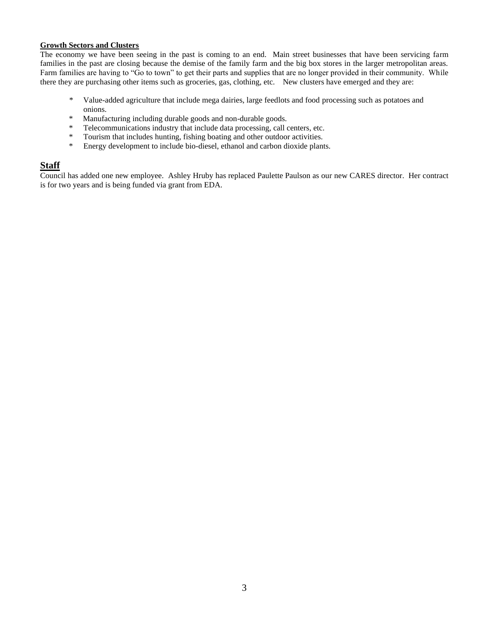### **Growth Sectors and Clusters**

The economy we have been seeing in the past is coming to an end. Main street businesses that have been servicing farm families in the past are closing because the demise of the family farm and the big box stores in the larger metropolitan areas. Farm families are having to "Go to town" to get their parts and supplies that are no longer provided in their community. While there they are purchasing other items such as groceries, gas, clothing, etc. New clusters have emerged and they are:

- \* Value-added agriculture that include mega dairies, large feedlots and food processing such as potatoes and onions.
- \* Manufacturing including durable goods and non-durable goods.
- \* Telecommunications industry that include data processing, call centers, etc.
- \* Tourism that includes hunting, fishing boating and other outdoor activities.
- \* Energy development to include bio-diesel, ethanol and carbon dioxide plants.

## **Staff**

Council has added one new employee. Ashley Hruby has replaced Paulette Paulson as our new CARES director. Her contract is for two years and is being funded via grant from EDA.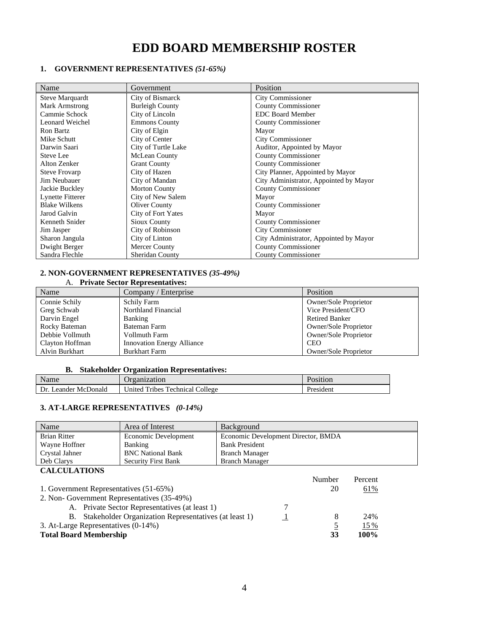# **EDD BOARD MEMBERSHIP ROSTER**

### **1. GOVERNMENT REPRESENTATIVES** *(51-65%)*

| Name                 | Government             | Position                               |
|----------------------|------------------------|----------------------------------------|
| Steve Marquardt      | City of Bismarck       | <b>City Commissioner</b>               |
| Mark Armstrong       | <b>Burleigh County</b> | <b>County Commissioner</b>             |
| Cammie Schock        | City of Lincoln        | <b>EDC Board Member</b>                |
| Leonard Weichel      | <b>Emmons County</b>   | <b>County Commissioner</b>             |
| Ron Bartz            | City of Elgin          | Mayor                                  |
| Mike Schutt          | City of Center         | City Commissioner                      |
| Darwin Saari         | City of Turtle Lake    | Auditor, Appointed by Mayor            |
| Steve Lee            | <b>McLean County</b>   | County Commissioner                    |
| Alton Zenker         | <b>Grant County</b>    | <b>County Commissioner</b>             |
| <b>Steve Frovarp</b> | City of Hazen          | City Planner, Appointed by Mayor       |
| Jim Neubauer         | City of Mandan         | City Administrator, Appointed by Mayor |
| Jackie Buckley       | <b>Morton County</b>   | <b>County Commissioner</b>             |
| Lynette Fitterer     | City of New Salem      | Mayor                                  |
| <b>Blake Wilkens</b> | <b>Oliver County</b>   | County Commissioner                    |
| Jarod Galvin         | City of Fort Yates     | Mayor                                  |
| Kenneth Snider       | Sioux County           | County Commissioner                    |
| Jim Jasper           | City of Robinson       | City Commissioner                      |
| Sharon Jangula       | City of Linton         | City Administrator, Appointed by Mayor |
| Dwight Berger        | Mercer County          | <b>County Commissioner</b>             |
| Sandra Flechle       | <b>Sheridan County</b> | <b>County Commissioner</b>             |

### **2. NON-GOVERNMENT REPRESENTATIVES** *(35-49%)*

| A. Private Sector Representatives: |                                   |                       |
|------------------------------------|-----------------------------------|-----------------------|
| Name                               | Company / Enterprise              | <b>Position</b>       |
| Connie Schily                      | <b>Schily Farm</b>                | Owner/Sole Proprietor |
| Greg Schwab                        | Northland Financial               | Vice President/CFO    |
| Darvin Engel                       | Banking                           | <b>Retired Banker</b> |
| Rocky Bateman                      | Bateman Farm                      | Owner/Sole Proprietor |
| Debbie Vollmuth                    | Vollmuth Farm                     | Owner/Sole Proprietor |
| Clayton Hoffman                    | <b>Innovation Energy Alliance</b> | <b>CEO</b>            |
| Alvin Burkhart                     | <b>Burkhart Farm</b>              | Owner/Sole Proprietor |

### **B. Stakeholder Organization Representatives:**

| Name                    | Jrganization                                                                            | osition'  |
|-------------------------|-----------------------------------------------------------------------------------------|-----------|
| Dr.<br>Leander McDonald | $\overline{\phantom{a}}$<br><b>Technical</b><br>College<br>Jnited<br>T <sub>1</sub> bes | President |

### **3. AT-LARGE REPRESENTATIVES** *(0-14%)*

| Name                | Area of Interest           | Background                          |
|---------------------|----------------------------|-------------------------------------|
| <b>Brian Ritter</b> | Economic Development       | Economic Development Director, BMDA |
| Wayne Hoffner       | Banking                    | <b>Bank President</b>               |
| Crystal Jahner      | <b>BNC</b> National Bank   | <b>Branch Manager</b>               |
| Deb Clarys          | <b>Security First Bank</b> | <b>Branch Manager</b>               |
| <b>CALCULATIONS</b> |                            |                                     |

|                                                          | Number | Percent |
|----------------------------------------------------------|--------|---------|
| 1. Government Representatives (51-65%)                   | 20     | 61%     |
| 2. Non-Government Representatives (35-49%)               |        |         |
| A. Private Sector Representatives (at least 1)           |        |         |
| B. Stakeholder Organization Representatives (at least 1) |        | 24%     |
| 3. At-Large Representatives (0-14%)                      |        | 15 %    |
| <b>Total Board Membership</b>                            | 33     | $100\%$ |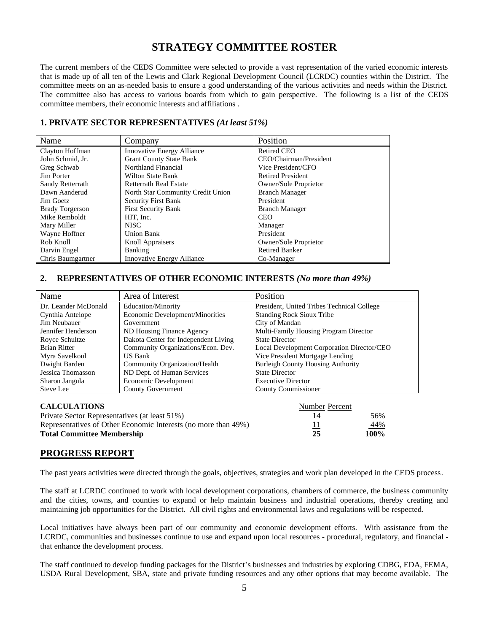# **STRATEGY COMMITTEE ROSTER**

The current members of the CEDS Committee were selected to provide a vast representation of the varied economic interests that is made up of all ten of the Lewis and Clark Regional Development Council (LCRDC) counties within the District. The committee meets on an as-needed basis to ensure a good understanding of the various activities and needs within the District. The committee also has access to various boards from which to gain perspective. The following is a list of the CEDS committee members, their economic interests and affiliations .

## **1. PRIVATE SECTOR REPRESENTATIVES** *(At least 51%)*

| Name                   | Company                           | Position                 |
|------------------------|-----------------------------------|--------------------------|
| Clayton Hoffman        | <b>Innovative Energy Alliance</b> | <b>Retired CEO</b>       |
| John Schmid, Jr.       | <b>Grant County State Bank</b>    | CEO/Chairman/President   |
| Greg Schwab            | Northland Financial               | Vice President/CFO       |
| Jim Porter             | Wilton State Bank                 | <b>Retired President</b> |
| Sandy Retterrath       | <b>Retterrath Real Estate</b>     | Owner/Sole Proprietor    |
| Dawn Aanderud          | North Star Community Credit Union | <b>Branch Manager</b>    |
| Jim Goetz              | <b>Security First Bank</b>        | President                |
| <b>Brady Torgerson</b> | <b>First Security Bank</b>        | <b>Branch Manager</b>    |
| Mike Remboldt          | HIT. Inc.                         | <b>CEO</b>               |
| Mary Miller            | <b>NISC</b>                       | Manager                  |
| Wayne Hoffner          | <b>Union Bank</b>                 | President                |
| Rob Knoll              | <b>Knoll Appraisers</b>           | Owner/Sole Proprietor    |
| Darvin Engel           | Banking                           | <b>Retired Banker</b>    |
| Chris Baumgartner      | Innovative Energy Alliance        | Co-Manager               |

### **2. REPRESENTATIVES OF OTHER ECONOMIC INTERESTS** *(No more than 49%)*

| Name                 | Area of Interest                     | Position                                   |
|----------------------|--------------------------------------|--------------------------------------------|
| Dr. Leander McDonald | <b>Education/Minority</b>            | President, United Tribes Technical College |
| Cynthia Antelope     | Economic Development/Minorities      | <b>Standing Rock Sioux Tribe</b>           |
| Jim Neubauer         | Government                           | City of Mandan                             |
| Jennifer Henderson   | ND Housing Finance Agency            | Multi-Family Housing Program Director      |
| Royce Schultze       | Dakota Center for Independent Living | <b>State Director</b>                      |
| <b>Brian Ritter</b>  | Community Organizations/Econ. Dev.   | Local Development Corporation Director/CEO |
| Myra Savelkoul       | <b>US Bank</b>                       | Vice President Mortgage Lending            |
| Dwight Barden        | Community Organization/Health        | <b>Burleigh County Housing Authority</b>   |
| Jessica Thomasson    | ND Dept. of Human Services           | <b>State Director</b>                      |
| Sharon Jangula       | Economic Development                 | <b>Executive Director</b>                  |
| Steve Lee            | <b>County Government</b>             | <b>County Commissioner</b>                 |

| <b>CALCULATIONS</b>                                            | Number Percent |         |
|----------------------------------------------------------------|----------------|---------|
| Private Sector Representatives (at least 51%)                  | 14             | 56%     |
| Representatives of Other Economic Interests (no more than 49%) |                | 44%     |
| <b>Total Committee Membership</b>                              | 25             | $100\%$ |

### **PROGRESS REPORT**

The past years activities were directed through the goals, objectives, strategies and work plan developed in the CEDS process.

The staff at LCRDC continued to work with local development corporations, chambers of commerce, the business community and the cities, towns, and counties to expand or help maintain business and industrial operations, thereby creating and maintaining job opportunities for the District. All civil rights and environmental laws and regulations will be respected.

Local initiatives have always been part of our community and economic development efforts. With assistance from the LCRDC, communities and businesses continue to use and expand upon local resources - procedural, regulatory, and financial that enhance the development process.

The staff continued to develop funding packages for the District's businesses and industries by exploring CDBG, EDA, FEMA, USDA Rural Development, SBA, state and private funding resources and any other options that may become available. The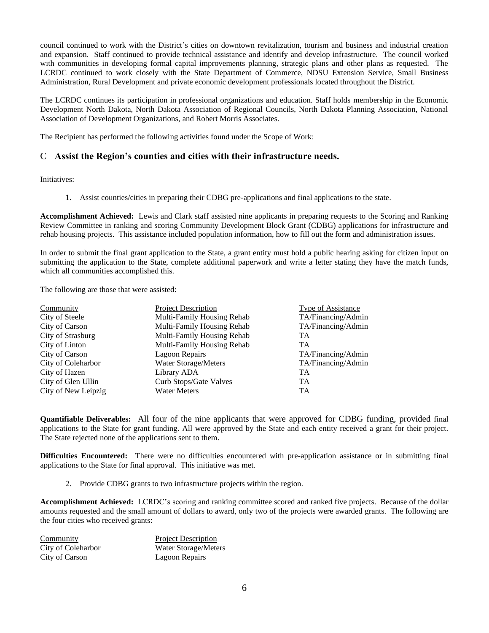council continued to work with the District's cities on downtown revitalization, tourism and business and industrial creation and expansion. Staff continued to provide technical assistance and identify and develop infrastructure. The council worked with communities in developing formal capital improvements planning, strategic plans and other plans as requested. The LCRDC continued to work closely with the State Department of Commerce, NDSU Extension Service, Small Business Administration, Rural Development and private economic development professionals located throughout the District.

The LCRDC continues its participation in professional organizations and education. Staff holds membership in the Economic Development North Dakota, North Dakota Association of Regional Councils, North Dakota Planning Association, National Association of Development Organizations, and Robert Morris Associates.

The Recipient has performed the following activities found under the Scope of Work:

## C **Assist the Region's counties and cities with their infrastructure needs.**

### Initiatives:

1. Assist counties/cities in preparing their CDBG pre-applications and final applications to the state.

**Accomplishment Achieved:** Lewis and Clark staff assisted nine applicants in preparing requests to the Scoring and Ranking Review Committee in ranking and scoring Community Development Block Grant (CDBG) applications for infrastructure and rehab housing projects. This assistance included population information, how to fill out the form and administration issues.

In order to submit the final grant application to the State, a grant entity must hold a public hearing asking for citizen input on submitting the application to the State, complete additional paperwork and write a letter stating they have the match funds, which all communities accomplished this.

The following are those that were assisted:

| Community           | <b>Project Description</b> | Type of Assistance |
|---------------------|----------------------------|--------------------|
| City of Steele      | Multi-Family Housing Rehab | TA/Financing/Admin |
| City of Carson      | Multi-Family Housing Rehab | TA/Financing/Admin |
| City of Strasburg   | Multi-Family Housing Rehab | TA                 |
| City of Linton      | Multi-Family Housing Rehab | TA                 |
| City of Carson      | Lagoon Repairs             | TA/Financing/Admin |
| City of Coleharbor  | Water Storage/Meters       | TA/Financing/Admin |
| City of Hazen       | Library ADA                | <b>TA</b>          |
| City of Glen Ullin  | Curb Stops/Gate Valves     | <b>TA</b>          |
| City of New Leipzig | <b>Water Meters</b>        | <b>TA</b>          |

**Quantifiable Deliverables:** All four of the nine applicants that were approved for CDBG funding, provided final applications to the State for grant funding. All were approved by the State and each entity received a grant for their project. The State rejected none of the applications sent to them.

**Difficulties Encountered:** There were no difficulties encountered with pre-application assistance or in submitting final applications to the State for final approval. This initiative was met.

2. Provide CDBG grants to two infrastructure projects within the region.

**Accomplishment Achieved:** LCRDC's scoring and ranking committee scored and ranked five projects. Because of the dollar amounts requested and the small amount of dollars to award, only two of the projects were awarded grants. The following are the four cities who received grants:

| Community          | <b>Project Description</b> |
|--------------------|----------------------------|
| City of Coleharbor | Water Storage/Meters       |
| City of Carson     | Lagoon Repairs             |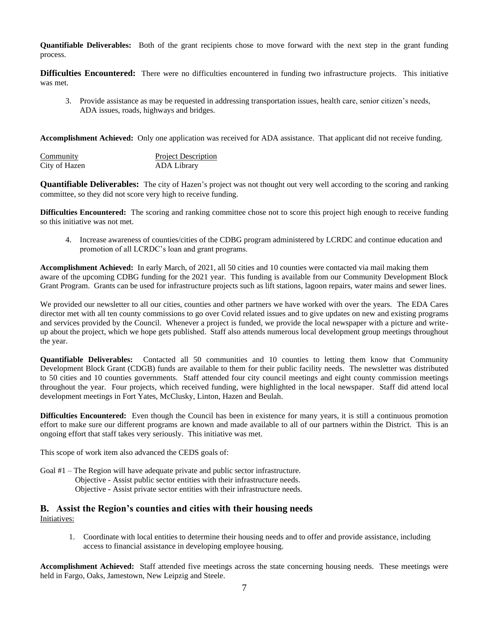**Quantifiable Deliverables:** Both of the grant recipients chose to move forward with the next step in the grant funding process.

**Difficulties Encountered:** There were no difficulties encountered in funding two infrastructure projects. This initiative was met.

3. Provide assistance as may be requested in addressing transportation issues, health care, senior citizen's needs, ADA issues, roads, highways and bridges.

**Accomplishment Achieved:** Only one application was received for ADA assistance. That applicant did not receive funding.

| Community     | <b>Project Description</b> |
|---------------|----------------------------|
| City of Hazen | ADA Library                |

**Quantifiable Deliverables:** The city of Hazen's project was not thought out very well according to the scoring and ranking committee, so they did not score very high to receive funding.

**Difficulties Encountered:** The scoring and ranking committee chose not to score this project high enough to receive funding so this initiative was not met.

4. Increase awareness of counties/cities of the CDBG program administered by LCRDC and continue education and promotion of all LCRDC's loan and grant programs.

**Accomplishment Achieved:** In early March, of 2021, all 50 cities and 10 counties were contacted via mail making them aware of the upcoming CDBG funding for the 2021 year. This funding is available from our Community Development Block Grant Program. Grants can be used for infrastructure projects such as lift stations, lagoon repairs, water mains and sewer lines.

We provided our newsletter to all our cities, counties and other partners we have worked with over the years. The EDA Cares director met with all ten county commissions to go over Covid related issues and to give updates on new and existing programs and services provided by the Council. Whenever a project is funded, we provide the local newspaper with a picture and writeup about the project, which we hope gets published. Staff also attends numerous local development group meetings throughout the year.

**Quantifiable Deliverables:** Contacted all 50 communities and 10 counties to letting them know that Community Development Block Grant (CDGB) funds are available to them for their public facility needs. The newsletter was distributed to 50 cities and 10 counties governments. Staff attended four city council meetings and eight county commission meetings throughout the year. Four projects, which received funding, were highlighted in the local newspaper. Staff did attend local development meetings in Fort Yates, McClusky, Linton, Hazen and Beulah.

**Difficulties Encountered:** Even though the Council has been in existence for many years, it is still a continuous promotion effort to make sure our different programs are known and made available to all of our partners within the District. This is an ongoing effort that staff takes very seriously. This initiative was met.

This scope of work item also advanced the CEDS goals of:

Goal #1 – The Region will have adequate private and public sector infrastructure. Objective - Assist public sector entities with their infrastructure needs. Objective - Assist private sector entities with their infrastructure needs.

### **B. Assist the Region's counties and cities with their housing needs** Initiatives:

1. Coordinate with local entities to determine their housing needs and to offer and provide assistance, including access to financial assistance in developing employee housing.

**Accomplishment Achieved:** Staff attended five meetings across the state concerning housing needs. These meetings were held in Fargo, Oaks, Jamestown, New Leipzig and Steele.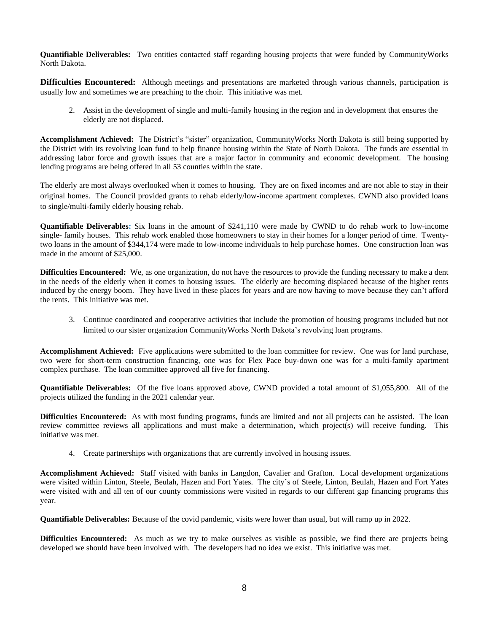**Quantifiable Deliverables:** Two entities contacted staff regarding housing projects that were funded by CommunityWorks North Dakota.

**Difficulties Encountered:** Although meetings and presentations are marketed through various channels, participation is usually low and sometimes we are preaching to the choir. This initiative was met.

2. Assist in the development of single and multi-family housing in the region and in development that ensures the elderly are not displaced.

**Accomplishment Achieved:** The District's "sister" organization, CommunityWorks North Dakota is still being supported by the District with its revolving loan fund to help finance housing within the State of North Dakota. The funds are essential in addressing labor force and growth issues that are a major factor in community and economic development. The housing lending programs are being offered in all 53 counties within the state.

The elderly are most always overlooked when it comes to housing. They are on fixed incomes and are not able to stay in their original homes. The Council provided grants to rehab elderly/low-income apartment complexes. CWND also provided loans to single/multi-family elderly housing rehab.

**Quantifiable Deliverables:** Six loans in the amount of \$241,110 were made by CWND to do rehab work to low-income single- family houses. This rehab work enabled those homeowners to stay in their homes for a longer period of time. Twentytwo loans in the amount of \$344,174 were made to low-income individuals to help purchase homes. One construction loan was made in the amount of \$25,000.

**Difficulties Encountered:** We, as one organization, do not have the resources to provide the funding necessary to make a dent in the needs of the elderly when it comes to housing issues. The elderly are becoming displaced because of the higher rents induced by the energy boom. They have lived in these places for years and are now having to move because they can't afford the rents. This initiative was met.

3. Continue coordinated and cooperative activities that include the promotion of housing programs included but not limited to our sister organization CommunityWorks North Dakota's revolving loan programs.

**Accomplishment Achieved:** Five applications were submitted to the loan committee for review. One was for land purchase, two were for short-term construction financing, one was for Flex Pace buy-down one was for a multi-family apartment complex purchase. The loan committee approved all five for financing.

**Quantifiable Deliverables:** Of the five loans approved above, CWND provided a total amount of \$1,055,800. All of the projects utilized the funding in the 2021 calendar year.

**Difficulties Encountered:** As with most funding programs, funds are limited and not all projects can be assisted. The loan review committee reviews all applications and must make a determination, which project(s) will receive funding. This initiative was met.

4. Create partnerships with organizations that are currently involved in housing issues.

**Accomplishment Achieved:** Staff visited with banks in Langdon, Cavalier and Grafton. Local development organizations were visited within Linton, Steele, Beulah, Hazen and Fort Yates. The city's of Steele, Linton, Beulah, Hazen and Fort Yates were visited with and all ten of our county commissions were visited in regards to our different gap financing programs this year.

**Quantifiable Deliverables:** Because of the covid pandemic, visits were lower than usual, but will ramp up in 2022.

**Difficulties Encountered:** As much as we try to make ourselves as visible as possible, we find there are projects being developed we should have been involved with. The developers had no idea we exist. This initiative was met.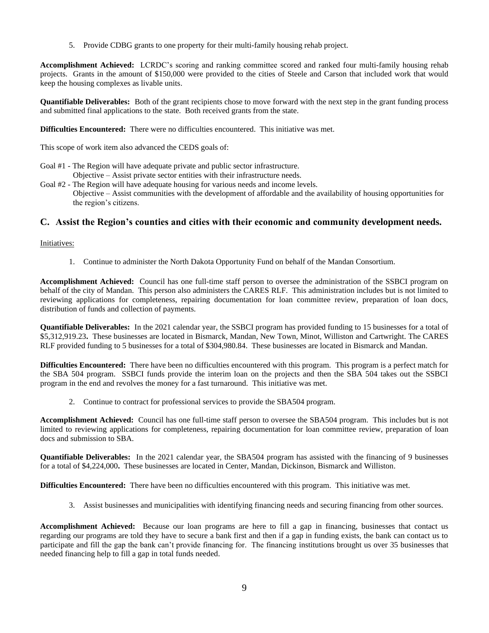5. Provide CDBG grants to one property for their multi-family housing rehab project.

**Accomplishment Achieved:** LCRDC's scoring and ranking committee scored and ranked four multi-family housing rehab projects. Grants in the amount of \$150,000 were provided to the cities of Steele and Carson that included work that would keep the housing complexes as livable units.

**Quantifiable Deliverables:** Both of the grant recipients chose to move forward with the next step in the grant funding process and submitted final applications to the state. Both received grants from the state.

**Difficulties Encountered:** There were no difficulties encountered. This initiative was met.

This scope of work item also advanced the CEDS goals of:

- Goal #1 The Region will have adequate private and public sector infrastructure. Objective – Assist private sector entities with their infrastructure needs.
- Goal #2 The Region will have adequate housing for various needs and income levels. Objective – Assist communities with the development of affordable and the availability of housing opportunities for the region's citizens.

## **C. Assist the Region's counties and cities with their economic and community development needs.**

### Initiatives:

1. Continue to administer the North Dakota Opportunity Fund on behalf of the Mandan Consortium.

**Accomplishment Achieved:** Council has one full-time staff person to oversee the administration of the SSBCI program on behalf of the city of Mandan. This person also administers the CARES RLF. This administration includes but is not limited to reviewing applications for completeness, repairing documentation for loan committee review, preparation of loan docs, distribution of funds and collection of payments.

**Quantifiable Deliverables:** In the 2021 calendar year, the SSBCI program has provided funding to 15 businesses for a total of \$5,312,919.23**.** These businesses are located in Bismarck, Mandan, New Town, Minot, Williston and Cartwright. The CARES RLF provided funding to 5 businesses for a total of \$304,980.84. These businesses are located in Bismarck and Mandan.

**Difficulties Encountered:** There have been no difficulties encountered with this program. This program is a perfect match for the SBA 504 program. SSBCI funds provide the interim loan on the projects and then the SBA 504 takes out the SSBCI program in the end and revolves the money for a fast turnaround. This initiative was met.

2. Continue to contract for professional services to provide the SBA504 program.

**Accomplishment Achieved:** Council has one full-time staff person to oversee the SBA504 program. This includes but is not limited to reviewing applications for completeness, repairing documentation for loan committee review, preparation of loan docs and submission to SBA.

**Quantifiable Deliverables:** In the 2021 calendar year, the SBA504 program has assisted with the financing of 9 businesses for a total of \$4,224,000**.** These businesses are located in Center, Mandan, Dickinson, Bismarck and Williston.

**Difficulties Encountered:** There have been no difficulties encountered with this program. This initiative was met.

3. Assist businesses and municipalities with identifying financing needs and securing financing from other sources.

**Accomplishment Achieved:** Because our loan programs are here to fill a gap in financing, businesses that contact us regarding our programs are told they have to secure a bank first and then if a gap in funding exists, the bank can contact us to participate and fill the gap the bank can't provide financing for. The financing institutions brought us over 35 businesses that needed financing help to fill a gap in total funds needed.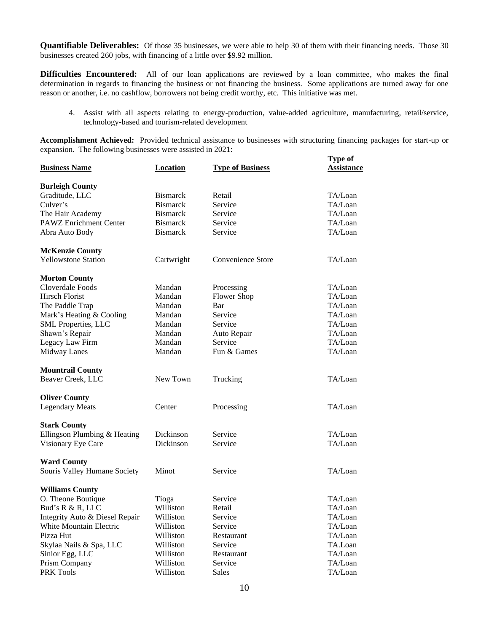**Quantifiable Deliverables:** Of those 35 businesses, we were able to help 30 of them with their financing needs. Those 30 businesses created 260 jobs, with financing of a little over \$9.92 million.

**Difficulties Encountered:** All of our loan applications are reviewed by a loan committee, who makes the final determination in regards to financing the business or not financing the business. Some applications are turned away for one reason or another, i.e. no cashflow, borrowers not being credit worthy, etc. This initiative was met.

4. Assist with all aspects relating to energy-production, value-added agriculture, manufacturing, retail/service, technology-based and tourism-related development

**Accomplishment Achieved:** Provided technical assistance to businesses with structuring financing packages for start-up or expansion. The following businesses were assisted in 2021: **Type of**

| <b>Business Name</b>           | <b>Location</b> | <b>Type of Business</b> | <u>Assistance</u> |
|--------------------------------|-----------------|-------------------------|-------------------|
| <b>Burleigh County</b>         |                 |                         |                   |
| Graditude, LLC                 | <b>Bismarck</b> | Retail                  | TA/Loan           |
| Culver's                       | <b>Bismarck</b> | Service                 | TA/Loan           |
| The Hair Academy               | <b>Bismarck</b> | Service                 | TA/Loan           |
| PAWZ Enrichment Center         | <b>Bismarck</b> | Service                 | TA/Loan           |
| Abra Auto Body                 | <b>Bismarck</b> | Service                 | TA/Loan           |
| <b>McKenzie County</b>         |                 |                         |                   |
| <b>Yellowstone Station</b>     | Cartwright      | Convenience Store       | TA/Loan           |
| <b>Morton County</b>           |                 |                         |                   |
| Cloverdale Foods               | Mandan          | Processing              | TA/Loan           |
| Hirsch Florist                 | Mandan          | <b>Flower Shop</b>      | TA/Loan           |
| The Paddle Trap                | Mandan          | Bar                     | TA/Loan           |
| Mark's Heating & Cooling       | Mandan          | Service                 | TA/Loan           |
| SML Properties, LLC            | Mandan          | Service                 | TA/Loan           |
| Shawn's Repair                 | Mandan          | Auto Repair             | TA/Loan           |
| Legacy Law Firm                | Mandan          | Service                 | TA/Loan           |
| Midway Lanes                   | Mandan          | Fun & Games             | TA/Loan           |
| <b>Mountrail County</b>        |                 |                         |                   |
| Beaver Creek, LLC              | New Town        | Trucking                | TA/Loan           |
| <b>Oliver County</b>           |                 |                         |                   |
| <b>Legendary Meats</b>         | Center          | Processing              | TA/Loan           |
| <b>Stark County</b>            |                 |                         |                   |
| Ellingson Plumbing & Heating   | Dickinson       | Service                 | TA/Loan           |
| Visionary Eye Care             | Dickinson       | Service                 | TA/Loan           |
| <b>Ward County</b>             |                 |                         |                   |
| Souris Valley Humane Society   | Minot           | Service                 | TA/Loan           |
| <b>Williams County</b>         |                 |                         |                   |
| O. Theone Boutique             | Tioga           | Service                 | TA/Loan           |
| Bud's R & R, LLC               | Williston       | Retail                  | TA/Loan           |
| Integrity Auto & Diesel Repair | Williston       | Service                 | TA/Loan           |
| <b>White Mountain Electric</b> | Williston       | Service                 | TA/Loan           |
| Pizza Hut                      | Williston       | Restaurant              | TA/Loan           |
| Skylaa Nails & Spa, LLC        | Williston       | Service                 | TA.Loan           |
| Sinior Egg, LLC                | Williston       | Restaurant              | TA/Loan           |
| Prism Company                  | Williston       | Service                 | TA/Loan           |
| PRK Tools                      | Williston       | Sales                   | TA/Loan           |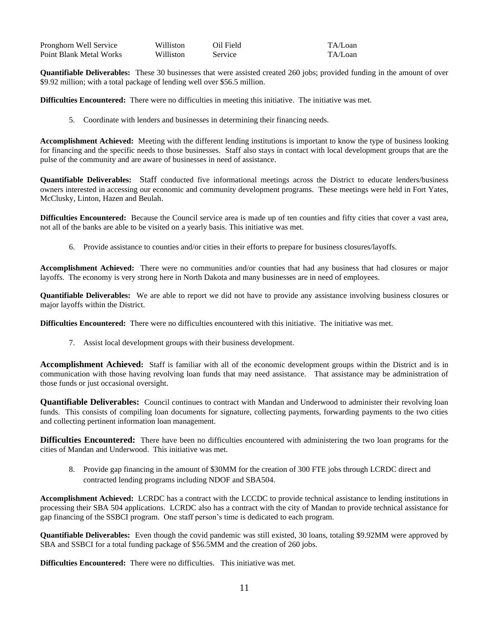| Pronghorn Well Service  | Williston        | Oil Field | TA/Loan |
|-------------------------|------------------|-----------|---------|
| Point Blank Metal Works | <b>Williston</b> | Service   | TA/Loan |

**Quantifiable Deliverables:** These 30 businesses that were assisted created 260 jobs; provided funding in the amount of over \$9.92 million; with a total package of lending well over \$56.5 million.

**Difficulties Encountered:** There were no difficulties in meeting this initiative. The initiative was met.

5. Coordinate with lenders and businesses in determining their financing needs.

**Accomplishment Achieved:** Meeting with the different lending institutions is important to know the type of business looking for financing and the specific needs to those businesses. Staff also stays in contact with local development groups that are the pulse of the community and are aware of businesses in need of assistance.

**Quantifiable Deliverables:** Staff conducted five informational meetings across the District to educate lenders/business owners interested in accessing our economic and community development programs. These meetings were held in Fort Yates, McClusky, Linton, Hazen and Beulah.

**Difficulties Encountered:** Because the Council service area is made up of ten counties and fifty cities that cover a vast area, not all of the banks are able to be visited on a yearly basis. This initiative was met.

6. Provide assistance to counties and/or cities in their efforts to prepare for business closures/layoffs.

**Accomplishment Achieved:** There were no communities and/or counties that had any business that had closures or major layoffs. The economy is very strong here in North Dakota and many businesses are in need of employees.

**Quantifiable Deliverables:** We are able to report we did not have to provide any assistance involving business closures or major layoffs within the District.

**Difficulties Encountered:** There were no difficulties encountered with this initiative. The initiative was met.

7. Assist local development groups with their business development.

**Accomplishment Achieved:** Staff is familiar with all of the economic development groups within the District and is in communication with those having revolving loan funds that may need assistance. That assistance may be administration of those funds or just occasional oversight.

**Quantifiable Deliverables:** Council continues to contract with Mandan and Underwood to administer their revolving loan funds. This consists of compiling loan documents for signature, collecting payments, forwarding payments to the two cities and collecting pertinent information loan management.

**Difficulties Encountered:** There have been no difficulties encountered with administering the two loan programs for the cities of Mandan and Underwood. This initiative was met.

8. Provide gap financing in the amount of \$30MM for the creation of 300 FTE jobs through LCRDC direct and contracted lending programs including NDOF and SBA504.

**Accomplishment Achieved:** LCRDC has a contract with the LCCDC to provide technical assistance to lending institutions in processing their SBA 504 applications. LCRDC also has a contract with the city of Mandan to provide technical assistance for gap financing of the SSBCI program. One staff person's time is dedicated to each program.

**Quantifiable Deliverables:** Even though the covid pandemic was still existed, 30 loans, totaling \$9.92MM were approved by SBA and SSBCI for a total funding package of \$56.5MM and the creation of 260 jobs.

**Difficulties Encountered:** There were no difficulties. This initiative was met.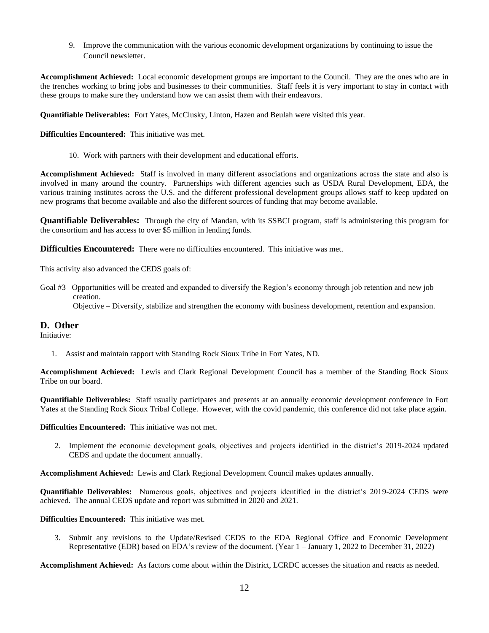9. Improve the communication with the various economic development organizations by continuing to issue the Council newsletter.

**Accomplishment Achieved:** Local economic development groups are important to the Council. They are the ones who are in the trenches working to bring jobs and businesses to their communities. Staff feels it is very important to stay in contact with these groups to make sure they understand how we can assist them with their endeavors.

**Quantifiable Deliverables:** Fort Yates, McClusky, Linton, Hazen and Beulah were visited this year.

**Difficulties Encountered:** This initiative was met.

10. Work with partners with their development and educational efforts.

**Accomplishment Achieved:** Staff is involved in many different associations and organizations across the state and also is involved in many around the country. Partnerships with different agencies such as USDA Rural Development, EDA, the various training institutes across the U.S. and the different professional development groups allows staff to keep updated on new programs that become available and also the different sources of funding that may become available.

**Quantifiable Deliverables:** Through the city of Mandan, with its SSBCI program, staff is administering this program for the consortium and has access to over \$5 million in lending funds.

**Difficulties Encountered:** There were no difficulties encountered. This initiative was met.

This activity also advanced the CEDS goals of:

Goal #3 –Opportunities will be created and expanded to diversify the Region's economy through job retention and new job creation.

Objective – Diversify, stabilize and strengthen the economy with business development, retention and expansion.

## **D. Other**

Initiative:

1. Assist and maintain rapport with Standing Rock Sioux Tribe in Fort Yates, ND.

**Accomplishment Achieved:** Lewis and Clark Regional Development Council has a member of the Standing Rock Sioux Tribe on our board.

**Quantifiable Deliverables:** Staff usually participates and presents at an annually economic development conference in Fort Yates at the Standing Rock Sioux Tribal College. However, with the covid pandemic, this conference did not take place again.

**Difficulties Encountered:** This initiative was not met.

2. Implement the economic development goals, objectives and projects identified in the district's 2019-2024 updated CEDS and update the document annually.

**Accomplishment Achieved:** Lewis and Clark Regional Development Council makes updates annually.

**Quantifiable Deliverables:** Numerous goals, objectives and projects identified in the district's 2019-2024 CEDS were achieved. The annual CEDS update and report was submitted in 2020 and 2021.

**Difficulties Encountered:** This initiative was met.

3. Submit any revisions to the Update/Revised CEDS to the EDA Regional Office and Economic Development Representative (EDR) based on EDA's review of the document. (Year 1 – January 1, 2022 to December 31, 2022)

**Accomplishment Achieved:** As factors come about within the District, LCRDC accesses the situation and reacts as needed.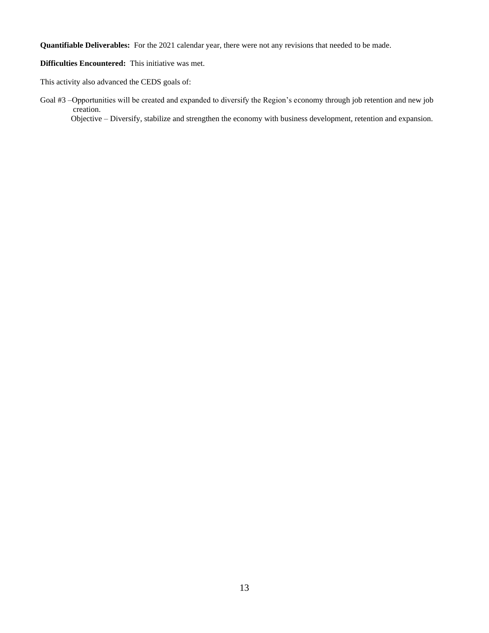**Quantifiable Deliverables:** For the 2021 calendar year, there were not any revisions that needed to be made.

**Difficulties Encountered:** This initiative was met.

This activity also advanced the CEDS goals of:

Goal #3 –Opportunities will be created and expanded to diversify the Region's economy through job retention and new job creation. Objective – Diversify, stabilize and strengthen the economy with business development, retention and expansion.

13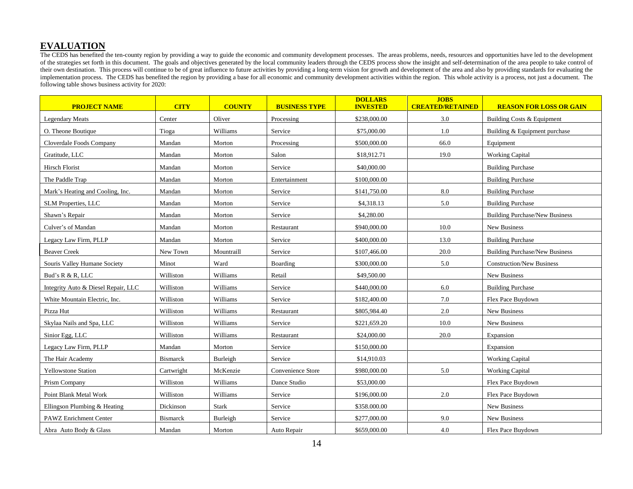## **EVALUATION**

The CEDS has benefited the ten-county region by providing a way to guide the economic and community development processes. The areas problems, needs, resources and opportunities have led to the development of the strategies set forth in this document. The goals and objectives generated by the local community leaders through the CEDS process show the insight and self-determination of the area people to take control of their own destination. This process will continue to be of great influence to future activities by providing a long-term vision for growth and development of the area and also by providing standards for evaluating the implementation process. The CEDS has benefited the region by providing a base for all economic and community development activities within the region. This whole activity is a process, not just a document. The following table shows business activity for 2020:

| <b>PROJECT NAME</b>                 | <b>CITY</b>     | <b>COUNTY</b> | <b>BUSINESS TYPE</b> | <b>DOLLARS</b><br><b>INVESTED</b> | <b>JOBS</b><br><b>CREATED/RETAINED</b> | <b>REASON FOR LOSS OR GAIN</b>        |
|-------------------------------------|-----------------|---------------|----------------------|-----------------------------------|----------------------------------------|---------------------------------------|
| <b>Legendary Meats</b>              | Center          | Oliver        | Processing           | \$238,000.00                      | 3.0                                    | <b>Building Costs &amp; Equipment</b> |
| O. Theone Boutique                  | Tioga           | Williams      | Service              | \$75,000.00                       | 1.0                                    | Building & Equipment purchase         |
| Cloverdale Foods Company            | Mandan          | Morton        | Processing           | \$500,000.00                      | 66.0                                   | Equipment                             |
| Gratitude, LLC                      | Mandan          | Morton        | Salon                | \$18,912.71                       | 19.0                                   | <b>Working Capital</b>                |
| Hirsch Florist                      | Mandan          | Morton        | Service              | \$40,000.00                       |                                        | <b>Building Purchase</b>              |
| The Paddle Trap                     | Mandan          | Morton        | Entertainment        | \$100,000.00                      |                                        | <b>Building Purchase</b>              |
| Mark's Heating and Cooling, Inc.    | Mandan          | Morton        | Service              | \$141,750.00                      | 8.0                                    | <b>Building Purchase</b>              |
| <b>SLM Properties, LLC</b>          | Mandan          | Morton        | Service              | \$4,318.13                        | 5.0                                    | <b>Building Purchase</b>              |
| Shawn's Repair                      | Mandan          | Morton        | Service              | \$4,280.00                        |                                        | <b>Building Purchase/New Business</b> |
| Culver's of Mandan                  | Mandan          | Morton        | Restaurant           | \$940,000.00                      | 10.0                                   | New Business                          |
| Legacy Law Firm, PLLP               | Mandan          | Morton        | Service              | \$400,000.00                      | 13.0                                   | <b>Building Purchase</b>              |
| <b>Beaver Creek</b>                 | New Town        | Mountraill    | Service              | \$107,466.00                      | 20.0                                   | <b>Building Purchase/New Business</b> |
| Souris Valley Humane Society        | Minot           | Ward          | Boarding             | \$300,000.00                      | 5.0                                    | <b>Construction/New Business</b>      |
| Bud's R & R, LLC                    | Williston       | Williams      | Retail               | \$49,500.00                       |                                        | New Business                          |
| Integrity Auto & Diesel Repair, LLC | Williston       | Williams      | Service              | \$440,000.00                      | 6.0                                    | <b>Building Purchase</b>              |
| White Mountain Electric, Inc.       | Williston       | Williams      | Service              | \$182,400.00                      | 7.0                                    | Flex Pace Buydown                     |
| Pizza Hut                           | Williston       | Williams      | Restaurant           | \$805,984.40                      | 2.0                                    | New Business                          |
| Skylaa Nails and Spa, LLC           | Williston       | Williams      | Service              | \$221,659.20                      | 10.0                                   | New Business                          |
| Sinior Egg, LLC                     | Williston       | Williams      | Restaurant           | \$24,000.00                       | 20.0                                   | Expansion                             |
| Legacy Law Firm, PLLP               | Mandan          | Morton        | Service              | \$150,000.00                      |                                        | Expansion                             |
| The Hair Academy                    | <b>Bismarck</b> | Burleigh      | Service              | \$14,910.03                       |                                        | <b>Working Capital</b>                |
| <b>Yellowstone Station</b>          | Cartwright      | McKenzie      | Convenience Store    | \$980,000.00                      | 5.0                                    | <b>Working Capital</b>                |
| Prism Company                       | Williston       | Williams      | Dance Studio         | \$53,000.00                       |                                        | Flex Pace Buydown                     |
| Point Blank Metal Work              | Williston       | Williams      | Service              | \$196,000.00                      | 2.0                                    | Flex Pace Buydown                     |
| Ellingson Plumbing & Heating        | Dickinson       | <b>Stark</b>  | Service              | \$358.000.00                      |                                        | New Business                          |
| <b>PAWZ Enrichment Center</b>       | <b>Bismarck</b> | Burleigh      | Service              | \$277,000.00                      | 9.0                                    | <b>New Business</b>                   |
| Abra Auto Body & Glass              | Mandan          | Morton        | Auto Repair          | \$659,000.00                      | 4.0                                    | Flex Pace Buydown                     |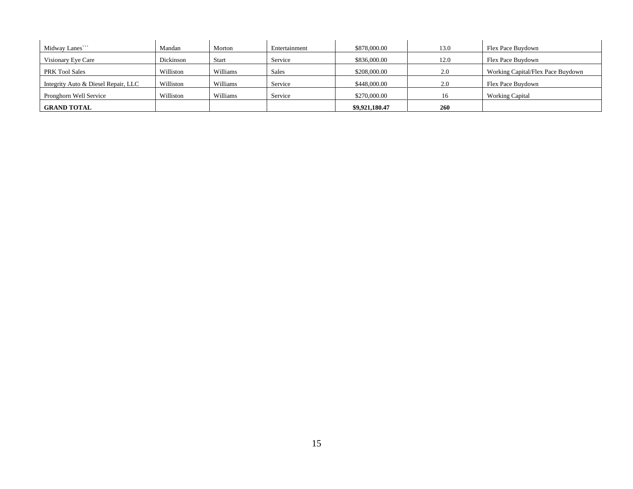| Midway Lanes                        | Mandan    | Morton       | Entertainment | \$878,000.00   | 13.0 | Flex Pace Buydown                 |
|-------------------------------------|-----------|--------------|---------------|----------------|------|-----------------------------------|
| Visionary Eye Care                  | Dickinson | <b>Start</b> | Service       | \$836,000.00   | 12.0 | Flex Pace Buydown                 |
| <b>PRK Tool Sales</b>               | Williston | Williams     | Sales         | \$208,000.00   | 2.0  | Working Capital/Flex Pace Buydown |
| Integrity Auto & Diesel Repair, LLC | Williston | Williams     | Service       | \$448,000.00   | 2.0  | Flex Pace Buydown                 |
| Pronghorn Well Service              | Williston | Williams     | Service       | \$270,000.00   | 16   | <b>Working Capital</b>            |
| <b>GRAND TOTAL</b>                  |           |              |               | \$9,921,180.47 | 260  |                                   |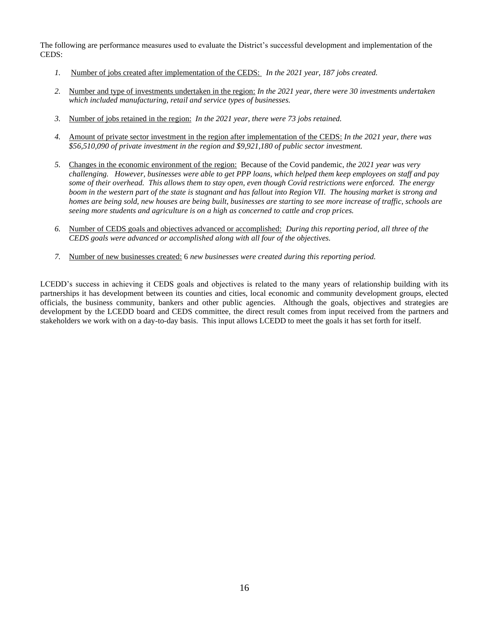The following are performance measures used to evaluate the District's successful development and implementation of the CEDS:

- *1.* Number of jobs created after implementation of the CEDS: *In the 2021 year, 187 jobs created.*
- *2.* Number and type of investments undertaken in the region: *In the 2021 year, there were 30 investments undertaken which included manufacturing, retail and service types of businesses.*
- *3.* Number of jobs retained in the region: *In the 2021 year, there were 73 jobs retained.*
- *4.* Amount of private sector investment in the region after implementation of the CEDS: *In the 2021 year, there was \$56,510,090 of private investment in the region and \$9,921,180 of public sector investment.*
- *5.* Changes in the economic environment of the region: Because of the Covid pandemic, *the 2021 year was very challenging. However, businesses were able to get PPP loans, which helped them keep employees on staff and pay some of their overhead. This allows them to stay open, even though Covid restrictions were enforced. The energy boom in the western part of the state is stagnant and has fallout into Region VII. The housing market is strong and homes are being sold, new houses are being built, businesses are starting to see more increase of traffic, schools are seeing more students and agriculture is on a high as concerned to cattle and crop prices.*
- *6.* Number of CEDS goals and objectives advanced or accomplished: *During this reporting period, all three of the CEDS goals were advanced or accomplished along with all four of the objectives.*
- *7.* Number of new businesses created: 6 *new businesses were created during this reporting period.*

LCEDD's success in achieving it CEDS goals and objectives is related to the many years of relationship building with its partnerships it has development between its counties and cities, local economic and community development groups, elected officials, the business community, bankers and other public agencies. Although the goals, objectives and strategies are development by the LCEDD board and CEDS committee, the direct result comes from input received from the partners and stakeholders we work with on a day-to-day basis. This input allows LCEDD to meet the goals it has set forth for itself.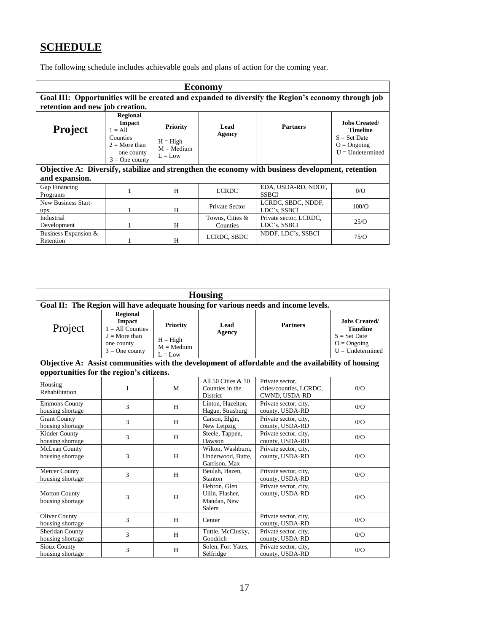# **SCHEDULE**

The following schedule includes achievable goals and plans of action for the coming year.

| Economy                                                                                            |                                                                                                                |                                                            |                             |                                        |                                                                                                   |  |  |
|----------------------------------------------------------------------------------------------------|----------------------------------------------------------------------------------------------------------------|------------------------------------------------------------|-----------------------------|----------------------------------------|---------------------------------------------------------------------------------------------------|--|--|
| Goal III: Opportunities will be created and expanded to diversify the Region's economy through job |                                                                                                                |                                                            |                             |                                        |                                                                                                   |  |  |
| retention and new job creation.                                                                    |                                                                                                                |                                                            |                             |                                        |                                                                                                   |  |  |
| <b>Project</b>                                                                                     | <b>Regional</b><br><b>Impact</b><br>$1 = A11$<br>Counties<br>$2 =$ More than<br>one county<br>$3 =$ One county | <b>Priority</b><br>$H = High$<br>$M = Medium$<br>$L = Low$ | Lead<br>Agency              | <b>Partners</b>                        | <b>Jobs Created/</b><br><b>Timeline</b><br>$S = Set$ Date<br>$O = O$ ngoing<br>$U = Undetermined$ |  |  |
| Objective A: Diversify, stabilize and strengthen the economy with business development, retention  |                                                                                                                |                                                            |                             |                                        |                                                                                                   |  |  |
| and expansion.                                                                                     |                                                                                                                |                                                            |                             |                                        |                                                                                                   |  |  |
| Gap Financing<br>Programs                                                                          |                                                                                                                | H                                                          | <b>LCRDC</b>                | EDA, USDA-RD, NDOF,<br><b>SSBCI</b>    | 0/O                                                                                               |  |  |
| New Business Start-<br>ups                                                                         |                                                                                                                | H                                                          | Private Sector              | LCRDC, SBDC, NDDF,<br>LDC's, SSBCI     | 100/O                                                                                             |  |  |
| Industrial<br>Development                                                                          |                                                                                                                | H                                                          | Towns, Cities &<br>Counties | Private sector, LCRDC,<br>LDC's, SSBCI | 25/O                                                                                              |  |  |
| Business Expansion &<br>Retention                                                                  |                                                                                                                | H                                                          | LCRDC, SBDC                 | NDDF, LDC's, SSBCI                     | 75/O                                                                                              |  |  |

| <b>Housing</b>                                                                      |                                                                                                             |                                                            |                                                         |                                                                                                    |                                                                                                   |  |
|-------------------------------------------------------------------------------------|-------------------------------------------------------------------------------------------------------------|------------------------------------------------------------|---------------------------------------------------------|----------------------------------------------------------------------------------------------------|---------------------------------------------------------------------------------------------------|--|
| Goal II: The Region will have adequate housing for various needs and income levels. |                                                                                                             |                                                            |                                                         |                                                                                                    |                                                                                                   |  |
| Project                                                                             | <b>Regional</b><br><b>Impact</b><br>$1 = All Counties$<br>$2 =$ More than<br>one county<br>$3 = One$ county | <b>Priority</b><br>$H = High$<br>$M = Medium$<br>$L = Low$ | Lead<br><b>Agency</b>                                   | <b>Partners</b>                                                                                    | <b>Jobs Created/</b><br><b>Timeline</b><br>$S = Set$ Date<br>$O = O$ ngoing<br>$U =$ Undetermined |  |
|                                                                                     |                                                                                                             |                                                            |                                                         | Objective A: Assist communities with the development of affordable and the availability of housing |                                                                                                   |  |
| opportunities for the region's citizens.                                            |                                                                                                             |                                                            |                                                         |                                                                                                    |                                                                                                   |  |
| Housing<br>Rehabilitation                                                           | 1                                                                                                           | M                                                          | All 50 Cities & 10<br>Counties in the<br>District       | Private sector.<br>cities/counties, LCRDC,<br>CWND, USDA-RD                                        | 0/O                                                                                               |  |
| <b>Emmons County</b><br>housing shortage                                            | 3                                                                                                           | H                                                          | Linton, Hazelton,<br>Hague, Strasburg                   | Private sector, city,<br>county, USDA-RD                                                           | 0/O                                                                                               |  |
| <b>Grant County</b><br>housing shortage                                             | 3                                                                                                           | H                                                          | Carson, Elgin,<br>New Leipzig                           | Private sector, city,<br>county, USDA-RD                                                           | 0/O                                                                                               |  |
| Kidder County<br>housing shortage                                                   | 3                                                                                                           | H                                                          | Steele, Tappen,<br>Dawson                               | Private sector, city,<br>county, USDA-RD                                                           | 0/O                                                                                               |  |
| McLean County<br>housing shortage                                                   | 3                                                                                                           | H                                                          | Wilton, Washburn,<br>Underwood, Butte,<br>Garrison, Max | Private sector, city,<br>county, USDA-RD                                                           | 0/O                                                                                               |  |
| <b>Mercer County</b><br>housing shortage                                            | 3                                                                                                           | H                                                          | Beulah, Hazen,<br>Stanton                               | Private sector, city,<br>county, USDA-RD                                                           | 0/O                                                                                               |  |
| <b>Morton County</b><br>housing shortage                                            | 3                                                                                                           | H                                                          | Hebron, Glen<br>Ullin, Flasher,<br>Mandan, New<br>Salem | Private sector, city,<br>county, USDA-RD                                                           | 0/O                                                                                               |  |
| <b>Oliver County</b><br>housing shortage                                            | 3                                                                                                           | H                                                          | Center                                                  | Private sector, city,<br>county, USDA-RD                                                           | 0/O                                                                                               |  |
| Sheridan County<br>housing shortage                                                 | 3                                                                                                           | H                                                          | Tuttle, McClusky,<br>Goodrich                           | Private sector, city,<br>county, USDA-RD                                                           | 0/O                                                                                               |  |
| <b>Sioux County</b><br>housing shortage                                             | 3                                                                                                           | H                                                          | Solen, Fort Yates,<br>Selfridge                         | Private sector, city,<br>county, USDA-RD                                                           | 0/O                                                                                               |  |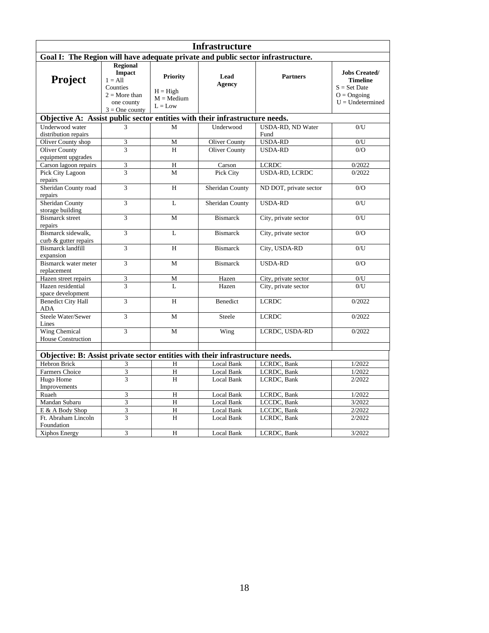| <b>Infrastructure</b>                                                           |                                                                                                    |                                                            |                       |                           |                                                                                                                    |  |  |
|---------------------------------------------------------------------------------|----------------------------------------------------------------------------------------------------|------------------------------------------------------------|-----------------------|---------------------------|--------------------------------------------------------------------------------------------------------------------|--|--|
| Goal I: The Region will have adequate private and public sector infrastructure. |                                                                                                    |                                                            |                       |                           |                                                                                                                    |  |  |
|                                                                                 | <b>Regional</b>                                                                                    |                                                            |                       |                           |                                                                                                                    |  |  |
| Project                                                                         | <b>Impact</b><br>$1 = All$<br>Counties<br>$2 = \text{More than}$<br>one county<br>$3 = One$ county | <b>Priority</b><br>$H = High$<br>$M = Medium$<br>$L = Low$ | Lead<br><b>Agency</b> | <b>Partners</b>           | <b>Jobs Created/</b><br><b>Timeline</b><br>$S = Set$ Date<br>$O = O$ ngoing<br>$\mathbf{U}=\mathbf{U}$ ndetermined |  |  |
| Objective A: Assist public sector entities with their infrastructure needs.     |                                                                                                    |                                                            |                       |                           |                                                                                                                    |  |  |
| Underwood water<br>distribution repairs                                         | 3                                                                                                  | M                                                          | Underwood             | USDA-RD, ND Water<br>Fund | 0/U                                                                                                                |  |  |
| Oliver County shop                                                              | 3                                                                                                  | M                                                          | <b>Oliver County</b>  | <b>USDA-RD</b>            | $0$ /U                                                                                                             |  |  |
| <b>Oliver County</b><br>equipment upgrades                                      | 3                                                                                                  | H                                                          | <b>Oliver County</b>  | <b>USDA-RD</b>            | O/O                                                                                                                |  |  |
| Carson lagoon repairs                                                           | 3                                                                                                  | H                                                          | Carson                | <b>LCRDC</b>              | 0/2022                                                                                                             |  |  |
| <b>Pick City Lagoon</b><br>repairs                                              | 3                                                                                                  | M                                                          | Pick City             | <b>USDA-RD, LCRDC</b>     | 0/2022                                                                                                             |  |  |
| Sheridan County road<br>repairs                                                 | 3                                                                                                  | H                                                          | Sheridan County       | ND DOT, private sector    | 0/O                                                                                                                |  |  |
| <b>Sheridan County</b><br>storage building                                      | 3                                                                                                  | $\mathbf{L}$                                               | Sheridan County       | <b>USDA-RD</b>            | 0/I                                                                                                                |  |  |
| <b>Bismarck</b> street<br>repairs                                               | 3                                                                                                  | M                                                          | <b>Bismarck</b>       | City, private sector      | $0$ /U                                                                                                             |  |  |
| Bismarck sidewalk,<br>curb & gutter repairs                                     | $\overline{3}$                                                                                     | L                                                          | <b>Bismarck</b>       | City, private sector      | 0/O                                                                                                                |  |  |
| <b>Bismarck landfill</b><br>expansion                                           | 3                                                                                                  | H                                                          | <b>Bismarck</b>       | City, USDA-RD             | 0/U                                                                                                                |  |  |
| Bismarck water meter<br>replacement                                             | 3                                                                                                  | M                                                          | <b>Bismarck</b>       | <b>USDA-RD</b>            | 0/O                                                                                                                |  |  |
| Hazen street repairs                                                            | 3                                                                                                  | M                                                          | Hazen                 | City, private sector      | 0/U                                                                                                                |  |  |
| Hazen residential<br>space development                                          | 3                                                                                                  | L                                                          | Hazen                 | City, private sector      | 0/U                                                                                                                |  |  |
| <b>Benedict City Hall</b><br><b>ADA</b>                                         | 3                                                                                                  | H                                                          | <b>Benedict</b>       | <b>LCRDC</b>              | 0/2022                                                                                                             |  |  |
| Steele Water/Sewer<br>Lines                                                     | $\overline{3}$                                                                                     | M                                                          | Steele                | <b>LCRDC</b>              | 0/2022                                                                                                             |  |  |
| <b>Wing Chemical</b><br>House Construction                                      | 3                                                                                                  | M                                                          | Wing                  | LCRDC, USDA-RD            | 0/2022                                                                                                             |  |  |
|                                                                                 |                                                                                                    |                                                            |                       |                           |                                                                                                                    |  |  |
| Objective: B: Assist private sector entities with their infrastructure needs.   |                                                                                                    |                                                            |                       |                           |                                                                                                                    |  |  |
| Hebron Brick                                                                    | 3                                                                                                  | H                                                          | <b>Local Bank</b>     | LCRDC, Bank               | 1/2022                                                                                                             |  |  |
| <b>Farmers Choice</b>                                                           | 3                                                                                                  | H                                                          | Local Bank            | LCRDC, Bank               | 1/2022                                                                                                             |  |  |
| Hugo Home                                                                       | $\overline{3}$                                                                                     | H                                                          | Local Bank            | LCRDC, Bank               | 2/2022                                                                                                             |  |  |
| Improvements                                                                    |                                                                                                    |                                                            |                       |                           |                                                                                                                    |  |  |
| Ruaeh                                                                           | 3                                                                                                  | H                                                          | Local Bank            | LCRDC, Bank               | 1/2022                                                                                                             |  |  |
| Mandan Subaru                                                                   | 3                                                                                                  | H                                                          | Local Bank            | LCCDC, Bank               | 3/2022                                                                                                             |  |  |
| E & A Body Shop                                                                 | 3                                                                                                  | H                                                          | Local Bank            | LCCDC, Bank               | 2/2022                                                                                                             |  |  |
| Ft. Abraham Lincoln<br>Foundation                                               | 3                                                                                                  | H                                                          | Local Bank            | LCRDC, Bank               | 2/2022                                                                                                             |  |  |
| Xiphos Energy                                                                   | 3                                                                                                  | H                                                          | Local Bank            | LCRDC, Bank               | 3/2022                                                                                                             |  |  |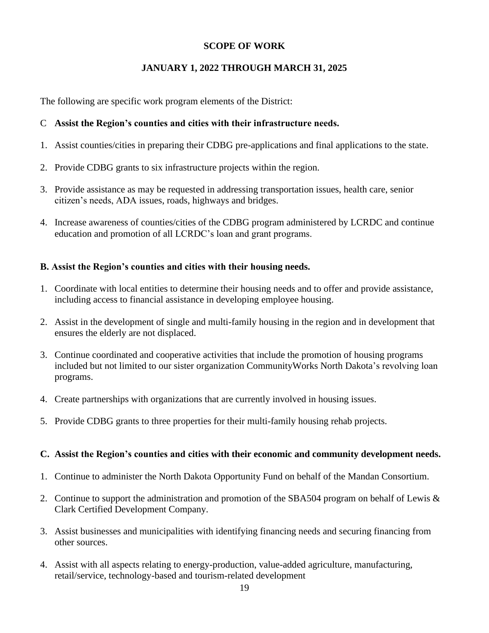# **SCOPE OF WORK**

# **JANUARY 1, 2022 THROUGH MARCH 31, 2025**

The following are specific work program elements of the District:

## C **Assist the Region's counties and cities with their infrastructure needs.**

- 1. Assist counties/cities in preparing their CDBG pre-applications and final applications to the state.
- 2. Provide CDBG grants to six infrastructure projects within the region.
- 3. Provide assistance as may be requested in addressing transportation issues, health care, senior citizen's needs, ADA issues, roads, highways and bridges.
- 4. Increase awareness of counties/cities of the CDBG program administered by LCRDC and continue education and promotion of all LCRDC's loan and grant programs.

# **B. Assist the Region's counties and cities with their housing needs.**

- 1. Coordinate with local entities to determine their housing needs and to offer and provide assistance, including access to financial assistance in developing employee housing.
- 2. Assist in the development of single and multi-family housing in the region and in development that ensures the elderly are not displaced.
- 3. Continue coordinated and cooperative activities that include the promotion of housing programs included but not limited to our sister organization CommunityWorks North Dakota's revolving loan programs.
- 4. Create partnerships with organizations that are currently involved in housing issues.
- 5. Provide CDBG grants to three properties for their multi-family housing rehab projects.

## **C. Assist the Region's counties and cities with their economic and community development needs.**

- 1. Continue to administer the North Dakota Opportunity Fund on behalf of the Mandan Consortium.
- 2. Continue to support the administration and promotion of the SBA504 program on behalf of Lewis & Clark Certified Development Company.
- 3. Assist businesses and municipalities with identifying financing needs and securing financing from other sources.
- 4. Assist with all aspects relating to energy-production, value-added agriculture, manufacturing, retail/service, technology-based and tourism-related development